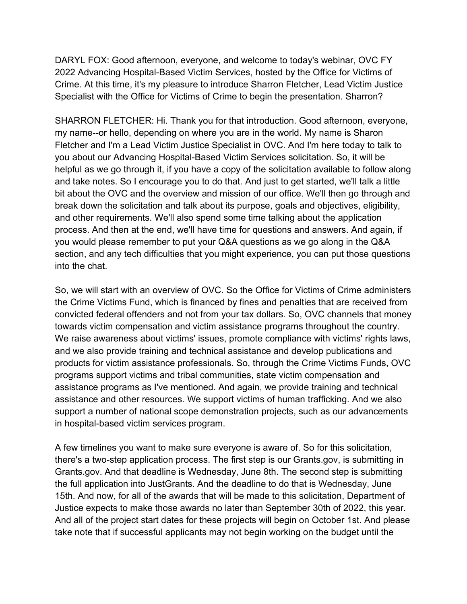DARYL FOX: Good afternoon, everyone, and welcome to today's webinar, OVC FY 2022 Advancing Hospital-Based Victim Services, hosted by the Office for Victims of Crime. At this time, it's my pleasure to introduce Sharron Fletcher, Lead Victim Justice Specialist with the Office for Victims of Crime to begin the presentation. Sharron?

SHARRON FLETCHER: Hi. Thank you for that introduction. Good afternoon, everyone, my name--or hello, depending on where you are in the world. My name is Sharon Fletcher and I'm a Lead Victim Justice Specialist in OVC. And I'm here today to talk to you about our Advancing Hospital-Based Victim Services solicitation. So, it will be helpful as we go through it, if you have a copy of the solicitation available to follow along and take notes. So I encourage you to do that. And just to get started, we'll talk a little bit about the OVC and the overview and mission of our office. We'll then go through and break down the solicitation and talk about its purpose, goals and objectives, eligibility, and other requirements. We'll also spend some time talking about the application process. And then at the end, we'll have time for questions and answers. And again, if you would please remember to put your Q&A questions as we go along in the Q&A section, and any tech difficulties that you might experience, you can put those questions into the chat.

So, we will start with an overview of OVC. So the Office for Victims of Crime administers the Crime Victims Fund, which is financed by fines and penalties that are received from convicted federal offenders and not from your tax dollars. So, OVC channels that money towards victim compensation and victim assistance programs throughout the country. We raise awareness about victims' issues, promote compliance with victims' rights laws, and we also provide training and technical assistance and develop publications and products for victim assistance professionals. So, through the Crime Victims Funds, OVC programs support victims and tribal communities, state victim compensation and assistance programs as I've mentioned. And again, we provide training and technical assistance and other resources. We support victims of human trafficking. And we also support a number of national scope demonstration projects, such as our advancements in hospital-based victim services program.

A few timelines you want to make sure everyone is aware of. So for this solicitation, there's a two-step application process. The first step is our Grants.gov, is submitting in Grants.gov. And that deadline is Wednesday, June 8th. The second step is submitting the full application into JustGrants. And the deadline to do that is Wednesday, June 15th. And now, for all of the awards that will be made to this solicitation, Department of Justice expects to make those awards no later than September 30th of 2022, this year. And all of the project start dates for these projects will begin on October 1st. And please take note that if successful applicants may not begin working on the budget until the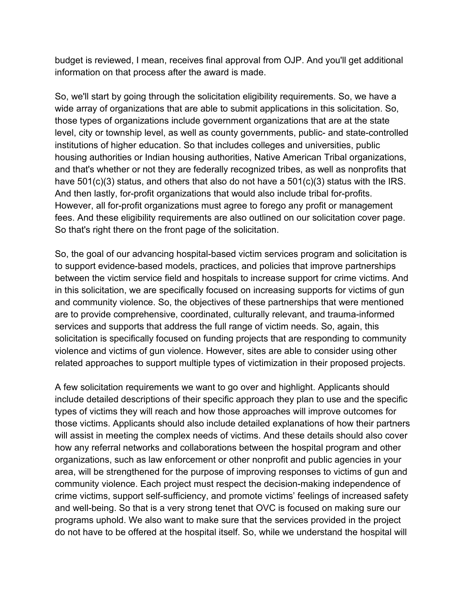budget is reviewed, I mean, receives final approval from OJP. And you'll get additional information on that process after the award is made.

So, we'll start by going through the solicitation eligibility requirements. So, we have a wide array of organizations that are able to submit applications in this solicitation. So, those types of organizations include government organizations that are at the state level, city or township level, as well as county governments, public- and state-controlled institutions of higher education. So that includes colleges and universities, public housing authorities or Indian housing authorities, Native American Tribal organizations, and that's whether or not they are federally recognized tribes, as well as nonprofits that have 501(c)(3) status, and others that also do not have a 501(c)(3) status with the IRS. And then lastly, for-profit organizations that would also include tribal for-profits. However, all for-profit organizations must agree to forego any profit or management fees. And these eligibility requirements are also outlined on our solicitation cover page. So that's right there on the front page of the solicitation.

So, the goal of our advancing hospital-based victim services program and solicitation is to support evidence-based models, practices, and policies that improve partnerships between the victim service field and hospitals to increase support for crime victims. And in this solicitation, we are specifically focused on increasing supports for victims of gun and community violence. So, the objectives of these partnerships that were mentioned are to provide comprehensive, coordinated, culturally relevant, and trauma-informed services and supports that address the full range of victim needs. So, again, this solicitation is specifically focused on funding projects that are responding to community violence and victims of gun violence. However, sites are able to consider using other related approaches to support multiple types of victimization in their proposed projects.

A few solicitation requirements we want to go over and highlight. Applicants should include detailed descriptions of their specific approach they plan to use and the specific types of victims they will reach and how those approaches will improve outcomes for those victims. Applicants should also include detailed explanations of how their partners will assist in meeting the complex needs of victims. And these details should also cover how any referral networks and collaborations between the hospital program and other organizations, such as law enforcement or other nonprofit and public agencies in your area, will be strengthened for the purpose of improving responses to victims of gun and community violence. Each project must respect the decision-making independence of crime victims, support self-sufficiency, and promote victims' feelings of increased safety and well-being. So that is a very strong tenet that OVC is focused on making sure our programs uphold. We also want to make sure that the services provided in the project do not have to be offered at the hospital itself. So, while we understand the hospital will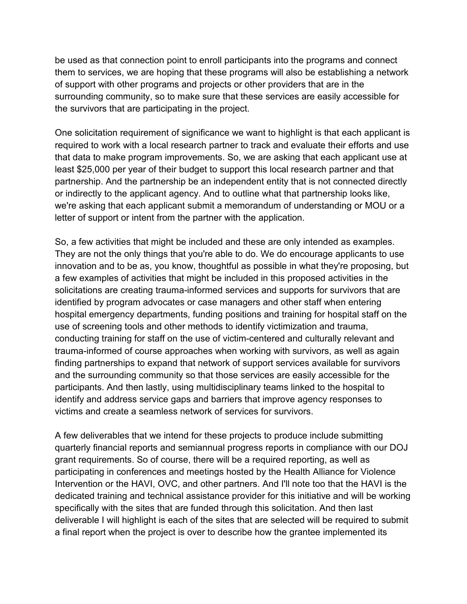be used as that connection point to enroll participants into the programs and connect them to services, we are hoping that these programs will also be establishing a network of support with other programs and projects or other providers that are in the surrounding community, so to make sure that these services are easily accessible for the survivors that are participating in the project.

One solicitation requirement of significance we want to highlight is that each applicant is required to work with a local research partner to track and evaluate their efforts and use that data to make program improvements. So, we are asking that each applicant use at least \$25,000 per year of their budget to support this local research partner and that partnership. And the partnership be an independent entity that is not connected directly or indirectly to the applicant agency. And to outline what that partnership looks like, we're asking that each applicant submit a memorandum of understanding or MOU or a letter of support or intent from the partner with the application.

So, a few activities that might be included and these are only intended as examples. They are not the only things that you're able to do. We do encourage applicants to use innovation and to be as, you know, thoughtful as possible in what they're proposing, but a few examples of activities that might be included in this proposed activities in the solicitations are creating trauma-informed services and supports for survivors that are identified by program advocates or case managers and other staff when entering hospital emergency departments, funding positions and training for hospital staff on the use of screening tools and other methods to identify victimization and trauma, conducting training for staff on the use of victim-centered and culturally relevant and trauma-informed of course approaches when working with survivors, as well as again finding partnerships to expand that network of support services available for survivors and the surrounding community so that those services are easily accessible for the participants. And then lastly, using multidisciplinary teams linked to the hospital to identify and address service gaps and barriers that improve agency responses to victims and create a seamless network of services for survivors.

A few deliverables that we intend for these projects to produce include submitting quarterly financial reports and semiannual progress reports in compliance with our DOJ grant requirements. So of course, there will be a required reporting, as well as participating in conferences and meetings hosted by the Health Alliance for Violence Intervention or the HAVI, OVC, and other partners. And I'll note too that the HAVI is the dedicated training and technical assistance provider for this initiative and will be working specifically with the sites that are funded through this solicitation. And then last deliverable I will highlight is each of the sites that are selected will be required to submit a final report when the project is over to describe how the grantee implemented its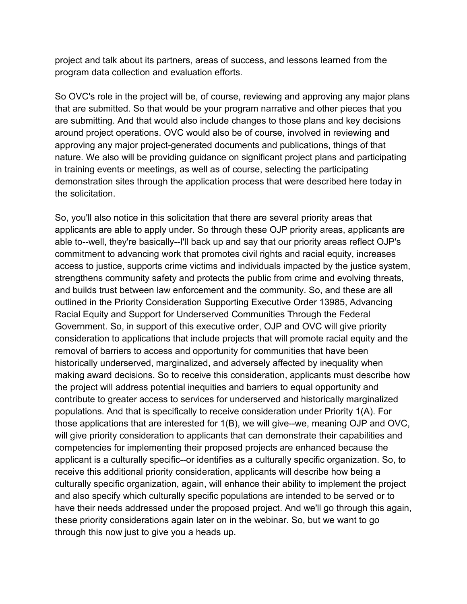project and talk about its partners, areas of success, and lessons learned from the program data collection and evaluation efforts.

So OVC's role in the project will be, of course, reviewing and approving any major plans that are submitted. So that would be your program narrative and other pieces that you are submitting. And that would also include changes to those plans and key decisions around project operations. OVC would also be of course, involved in reviewing and approving any major project-generated documents and publications, things of that nature. We also will be providing guidance on significant project plans and participating in training events or meetings, as well as of course, selecting the participating demonstration sites through the application process that were described here today in the solicitation.

So, you'll also notice in this solicitation that there are several priority areas that applicants are able to apply under. So through these OJP priority areas, applicants are able to--well, they're basically--I'll back up and say that our priority areas reflect OJP's commitment to advancing work that promotes civil rights and racial equity, increases access to justice, supports crime victims and individuals impacted by the justice system, strengthens community safety and protects the public from crime and evolving threats, and builds trust between law enforcement and the community. So, and these are all outlined in the Priority Consideration Supporting Executive Order 13985, Advancing Racial Equity and Support for Underserved Communities Through the Federal Government. So, in support of this executive order, OJP and OVC will give priority consideration to applications that include projects that will promote racial equity and the removal of barriers to access and opportunity for communities that have been historically underserved, marginalized, and adversely affected by inequality when making award decisions. So to receive this consideration, applicants must describe how the project will address potential inequities and barriers to equal opportunity and contribute to greater access to services for underserved and historically marginalized populations. And that is specifically to receive consideration under Priority 1(A). For those applications that are interested for 1(B), we will give--we, meaning OJP and OVC, will give priority consideration to applicants that can demonstrate their capabilities and competencies for implementing their proposed projects are enhanced because the applicant is a culturally specific--or identifies as a culturally specific organization. So, to receive this additional priority consideration, applicants will describe how being a culturally specific organization, again, will enhance their ability to implement the project and also specify which culturally specific populations are intended to be served or to have their needs addressed under the proposed project. And we'll go through this again, these priority considerations again later on in the webinar. So, but we want to go through this now just to give you a heads up.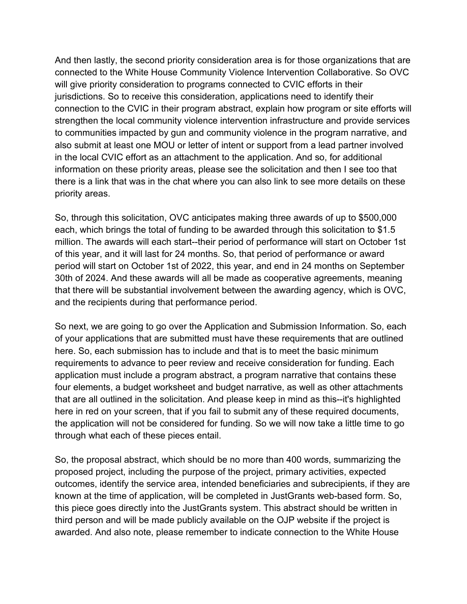And then lastly, the second priority consideration area is for those organizations that are connected to the White House Community Violence Intervention Collaborative. So OVC will give priority consideration to programs connected to CVIC efforts in their jurisdictions. So to receive this consideration, applications need to identify their connection to the CVIC in their program abstract, explain how program or site efforts will strengthen the local community violence intervention infrastructure and provide services to communities impacted by gun and community violence in the program narrative, and also submit at least one MOU or letter of intent or support from a lead partner involved in the local CVIC effort as an attachment to the application. And so, for additional information on these priority areas, please see the solicitation and then I see too that there is a link that was in the chat where you can also link to see more details on these priority areas.

So, through this solicitation, OVC anticipates making three awards of up to \$500,000 each, which brings the total of funding to be awarded through this solicitation to \$1.5 million. The awards will each start--their period of performance will start on October 1st of this year, and it will last for 24 months. So, that period of performance or award period will start on October 1st of 2022, this year, and end in 24 months on September 30th of 2024. And these awards will all be made as cooperative agreements, meaning that there will be substantial involvement between the awarding agency, which is OVC, and the recipients during that performance period.

So next, we are going to go over the Application and Submission Information. So, each of your applications that are submitted must have these requirements that are outlined here. So, each submission has to include and that is to meet the basic minimum requirements to advance to peer review and receive consideration for funding. Each application must include a program abstract, a program narrative that contains these four elements, a budget worksheet and budget narrative, as well as other attachments that are all outlined in the solicitation. And please keep in mind as this--it's highlighted here in red on your screen, that if you fail to submit any of these required documents, the application will not be considered for funding. So we will now take a little time to go through what each of these pieces entail.

So, the proposal abstract, which should be no more than 400 words, summarizing the proposed project, including the purpose of the project, primary activities, expected outcomes, identify the service area, intended beneficiaries and subrecipients, if they are known at the time of application, will be completed in JustGrants web-based form. So, this piece goes directly into the JustGrants system. This abstract should be written in third person and will be made publicly available on the OJP website if the project is awarded. And also note, please remember to indicate connection to the White House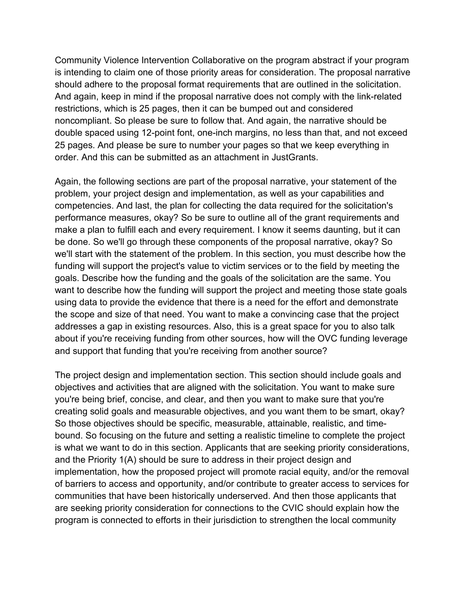Community Violence Intervention Collaborative on the program abstract if your program is intending to claim one of those priority areas for consideration. The proposal narrative should adhere to the proposal format requirements that are outlined in the solicitation. And again, keep in mind if the proposal narrative does not comply with the link-related restrictions, which is 25 pages, then it can be bumped out and considered noncompliant. So please be sure to follow that. And again, the narrative should be double spaced using 12-point font, one-inch margins, no less than that, and not exceed 25 pages. And please be sure to number your pages so that we keep everything in order. And this can be submitted as an attachment in JustGrants.

Again, the following sections are part of the proposal narrative, your statement of the problem, your project design and implementation, as well as your capabilities and competencies. And last, the plan for collecting the data required for the solicitation's performance measures, okay? So be sure to outline all of the grant requirements and make a plan to fulfill each and every requirement. I know it seems daunting, but it can be done. So we'll go through these components of the proposal narrative, okay? So we'll start with the statement of the problem. In this section, you must describe how the funding will support the project's value to victim services or to the field by meeting the goals. Describe how the funding and the goals of the solicitation are the same. You want to describe how the funding will support the project and meeting those state goals using data to provide the evidence that there is a need for the effort and demonstrate the scope and size of that need. You want to make a convincing case that the project addresses a gap in existing resources. Also, this is a great space for you to also talk about if you're receiving funding from other sources, how will the OVC funding leverage and support that funding that you're receiving from another source?

The project design and implementation section. This section should include goals and objectives and activities that are aligned with the solicitation. You want to make sure you're being brief, concise, and clear, and then you want to make sure that you're creating solid goals and measurable objectives, and you want them to be smart, okay? So those objectives should be specific, measurable, attainable, realistic, and timebound. So focusing on the future and setting a realistic timeline to complete the project is what we want to do in this section. Applicants that are seeking priority considerations, and the Priority 1(A) should be sure to address in their project design and implementation, how the proposed project will promote racial equity, and/or the removal of barriers to access and opportunity, and/or contribute to greater access to services for communities that have been historically underserved. And then those applicants that are seeking priority consideration for connections to the CVIC should explain how the program is connected to efforts in their jurisdiction to strengthen the local community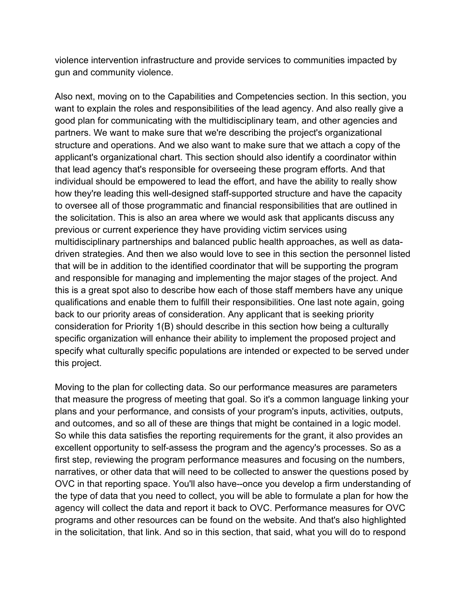violence intervention infrastructure and provide services to communities impacted by gun and community violence.

Also next, moving on to the Capabilities and Competencies section. In this section, you want to explain the roles and responsibilities of the lead agency. And also really give a good plan for communicating with the multidisciplinary team, and other agencies and partners. We want to make sure that we're describing the project's organizational structure and operations. And we also want to make sure that we attach a copy of the applicant's organizational chart. This section should also identify a coordinator within that lead agency that's responsible for overseeing these program efforts. And that individual should be empowered to lead the effort, and have the ability to really show how they're leading this well-designed staff-supported structure and have the capacity to oversee all of those programmatic and financial responsibilities that are outlined in the solicitation. This is also an area where we would ask that applicants discuss any previous or current experience they have providing victim services using multidisciplinary partnerships and balanced public health approaches, as well as datadriven strategies. And then we also would love to see in this section the personnel listed that will be in addition to the identified coordinator that will be supporting the program and responsible for managing and implementing the major stages of the project. And this is a great spot also to describe how each of those staff members have any unique qualifications and enable them to fulfill their responsibilities. One last note again, going back to our priority areas of consideration. Any applicant that is seeking priority consideration for Priority 1(B) should describe in this section how being a culturally specific organization will enhance their ability to implement the proposed project and specify what culturally specific populations are intended or expected to be served under this project.

Moving to the plan for collecting data. So our performance measures are parameters that measure the progress of meeting that goal. So it's a common language linking your plans and your performance, and consists of your program's inputs, activities, outputs, and outcomes, and so all of these are things that might be contained in a logic model. So while this data satisfies the reporting requirements for the grant, it also provides an excellent opportunity to self-assess the program and the agency's processes. So as a first step, reviewing the program performance measures and focusing on the numbers, narratives, or other data that will need to be collected to answer the questions posed by OVC in that reporting space. You'll also have--once you develop a firm understanding of the type of data that you need to collect, you will be able to formulate a plan for how the agency will collect the data and report it back to OVC. Performance measures for OVC programs and other resources can be found on the website. And that's also highlighted in the solicitation, that link. And so in this section, that said, what you will do to respond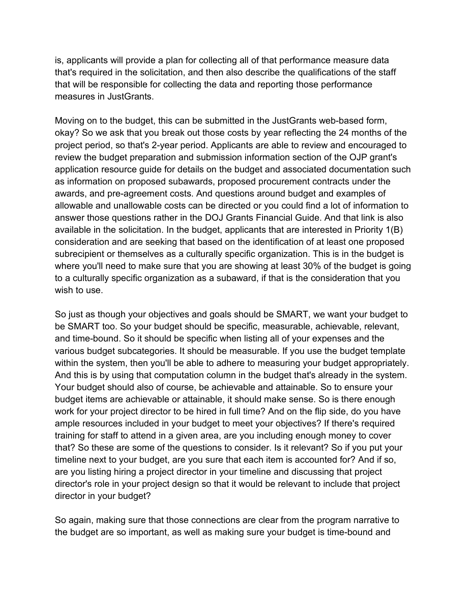is, applicants will provide a plan for collecting all of that performance measure data that's required in the solicitation, and then also describe the qualifications of the staff that will be responsible for collecting the data and reporting those performance measures in JustGrants.

Moving on to the budget, this can be submitted in the JustGrants web-based form, okay? So we ask that you break out those costs by year reflecting the 24 months of the project period, so that's 2-year period. Applicants are able to review and encouraged to review the budget preparation and submission information section of the OJP grant's application resource guide for details on the budget and associated documentation such as information on proposed subawards, proposed procurement contracts under the awards, and pre-agreement costs. And questions around budget and examples of allowable and unallowable costs can be directed or you could find a lot of information to answer those questions rather in the DOJ Grants Financial Guide. And that link is also available in the solicitation. In the budget, applicants that are interested in Priority 1(B) consideration and are seeking that based on the identification of at least one proposed subrecipient or themselves as a culturally specific organization. This is in the budget is where you'll need to make sure that you are showing at least 30% of the budget is going to a culturally specific organization as a subaward, if that is the consideration that you wish to use.

So just as though your objectives and goals should be SMART, we want your budget to be SMART too. So your budget should be specific, measurable, achievable, relevant, and time-bound. So it should be specific when listing all of your expenses and the various budget subcategories. It should be measurable. If you use the budget template within the system, then you'll be able to adhere to measuring your budget appropriately. And this is by using that computation column in the budget that's already in the system. Your budget should also of course, be achievable and attainable. So to ensure your budget items are achievable or attainable, it should make sense. So is there enough work for your project director to be hired in full time? And on the flip side, do you have ample resources included in your budget to meet your objectives? If there's required training for staff to attend in a given area, are you including enough money to cover that? So these are some of the questions to consider. Is it relevant? So if you put your timeline next to your budget, are you sure that each item is accounted for? And if so, are you listing hiring a project director in your timeline and discussing that project director's role in your project design so that it would be relevant to include that project director in your budget?

So again, making sure that those connections are clear from the program narrative to the budget are so important, as well as making sure your budget is time-bound and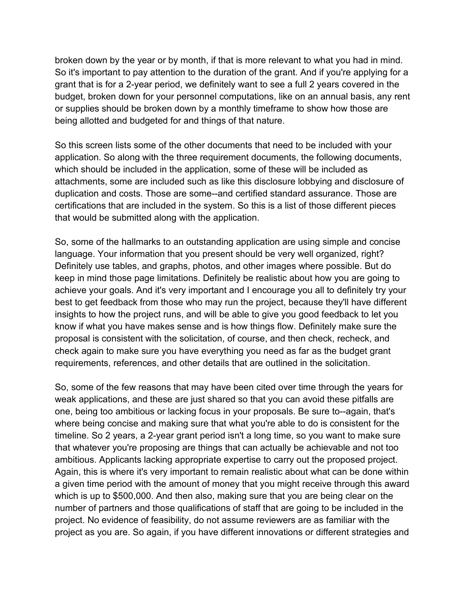broken down by the year or by month, if that is more relevant to what you had in mind. So it's important to pay attention to the duration of the grant. And if you're applying for a grant that is for a 2-year period, we definitely want to see a full 2 years covered in the budget, broken down for your personnel computations, like on an annual basis, any rent or supplies should be broken down by a monthly timeframe to show how those are being allotted and budgeted for and things of that nature.

So this screen lists some of the other documents that need to be included with your application. So along with the three requirement documents, the following documents, which should be included in the application, some of these will be included as attachments, some are included such as like this disclosure lobbying and disclosure of duplication and costs. Those are some--and certified standard assurance. Those are certifications that are included in the system. So this is a list of those different pieces that would be submitted along with the application.

So, some of the hallmarks to an outstanding application are using simple and concise language. Your information that you present should be very well organized, right? Definitely use tables, and graphs, photos, and other images where possible. But do keep in mind those page limitations. Definitely be realistic about how you are going to achieve your goals. And it's very important and I encourage you all to definitely try your best to get feedback from those who may run the project, because they'll have different insights to how the project runs, and will be able to give you good feedback to let you know if what you have makes sense and is how things flow. Definitely make sure the proposal is consistent with the solicitation, of course, and then check, recheck, and check again to make sure you have everything you need as far as the budget grant requirements, references, and other details that are outlined in the solicitation.

So, some of the few reasons that may have been cited over time through the years for weak applications, and these are just shared so that you can avoid these pitfalls are one, being too ambitious or lacking focus in your proposals. Be sure to--again, that's where being concise and making sure that what you're able to do is consistent for the timeline. So 2 years, a 2-year grant period isn't a long time, so you want to make sure that whatever you're proposing are things that can actually be achievable and not too ambitious. Applicants lacking appropriate expertise to carry out the proposed project. Again, this is where it's very important to remain realistic about what can be done within a given time period with the amount of money that you might receive through this award which is up to \$500,000. And then also, making sure that you are being clear on the number of partners and those qualifications of staff that are going to be included in the project. No evidence of feasibility, do not assume reviewers are as familiar with the project as you are. So again, if you have different innovations or different strategies and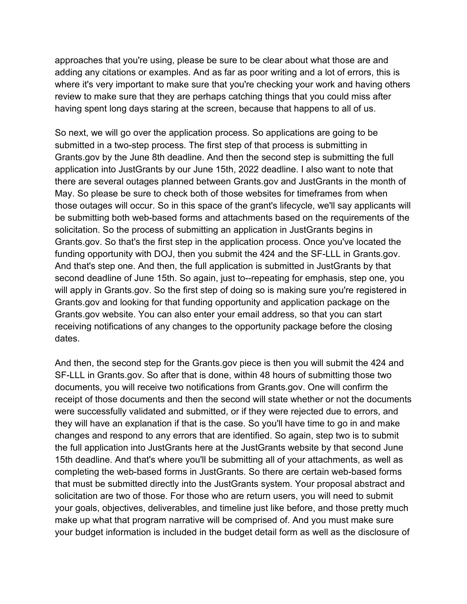approaches that you're using, please be sure to be clear about what those are and adding any citations or examples. And as far as poor writing and a lot of errors, this is where it's very important to make sure that you're checking your work and having others review to make sure that they are perhaps catching things that you could miss after having spent long days staring at the screen, because that happens to all of us.

So next, we will go over the application process. So applications are going to be submitted in a two-step process. The first step of that process is submitting in Grants.gov by the June 8th deadline. And then the second step is submitting the full application into JustGrants by our June 15th, 2022 deadline. I also want to note that there are several outages planned between Grants.gov and JustGrants in the month of May. So please be sure to check both of those websites for timeframes from when those outages will occur. So in this space of the grant's lifecycle, we'll say applicants will be submitting both web-based forms and attachments based on the requirements of the solicitation. So the process of submitting an application in JustGrants begins in Grants.gov. So that's the first step in the application process. Once you've located the funding opportunity with DOJ, then you submit the 424 and the SF-LLL in Grants.gov. And that's step one. And then, the full application is submitted in JustGrants by that second deadline of June 15th. So again, just to--repeating for emphasis, step one, you will apply in Grants.gov. So the first step of doing so is making sure you're registered in Grants.gov and looking for that funding opportunity and application package on the Grants.gov website. You can also enter your email address, so that you can start receiving notifications of any changes to the opportunity package before the closing dates.

And then, the second step for the Grants.gov piece is then you will submit the 424 and SF-LLL in Grants.gov. So after that is done, within 48 hours of submitting those two documents, you will receive two notifications from Grants.gov. One will confirm the receipt of those documents and then the second will state whether or not the documents were successfully validated and submitted, or if they were rejected due to errors, and they will have an explanation if that is the case. So you'll have time to go in and make changes and respond to any errors that are identified. So again, step two is to submit the full application into JustGrants here at the JustGrants website by that second June 15th deadline. And that's where you'll be submitting all of your attachments, as well as completing the web-based forms in JustGrants. So there are certain web-based forms that must be submitted directly into the JustGrants system. Your proposal abstract and solicitation are two of those. For those who are return users, you will need to submit your goals, objectives, deliverables, and timeline just like before, and those pretty much make up what that program narrative will be comprised of. And you must make sure your budget information is included in the budget detail form as well as the disclosure of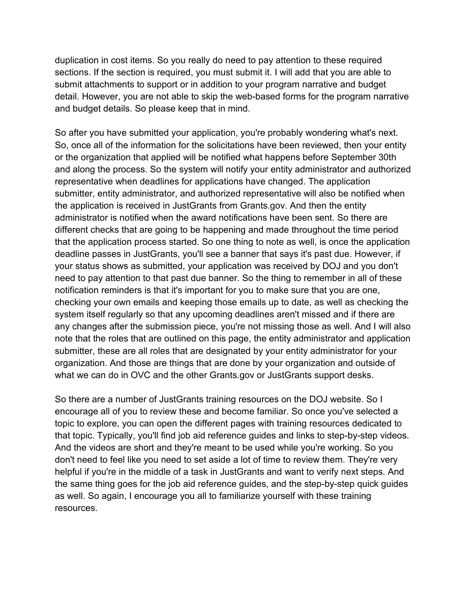duplication in cost items. So you really do need to pay attention to these required sections. If the section is required, you must submit it. I will add that you are able to submit attachments to support or in addition to your program narrative and budget detail. However, you are not able to skip the web-based forms for the program narrative and budget details. So please keep that in mind.

So after you have submitted your application, you're probably wondering what's next. So, once all of the information for the solicitations have been reviewed, then your entity or the organization that applied will be notified what happens before September 30th and along the process. So the system will notify your entity administrator and authorized representative when deadlines for applications have changed. The application submitter, entity administrator, and authorized representative will also be notified when the application is received in JustGrants from Grants.gov. And then the entity administrator is notified when the award notifications have been sent. So there are different checks that are going to be happening and made throughout the time period that the application process started. So one thing to note as well, is once the application deadline passes in JustGrants, you'll see a banner that says it's past due. However, if your status shows as submitted, your application was received by DOJ and you don't need to pay attention to that past due banner. So the thing to remember in all of these notification reminders is that it's important for you to make sure that you are one, checking your own emails and keeping those emails up to date, as well as checking the system itself regularly so that any upcoming deadlines aren't missed and if there are any changes after the submission piece, you're not missing those as well. And I will also note that the roles that are outlined on this page, the entity administrator and application submitter, these are all roles that are designated by your entity administrator for your organization. And those are things that are done by your organization and outside of what we can do in OVC and the other Grants.gov or JustGrants support desks.

So there are a number of JustGrants training resources on the DOJ website. So I encourage all of you to review these and become familiar. So once you've selected a topic to explore, you can open the different pages with training resources dedicated to that topic. Typically, you'll find job aid reference guides and links to step-by-step videos. And the videos are short and they're meant to be used while you're working. So you don't need to feel like you need to set aside a lot of time to review them. They're very helpful if you're in the middle of a task in JustGrants and want to verify next steps. And the same thing goes for the job aid reference guides, and the step-by-step quick guides as well. So again, I encourage you all to familiarize yourself with these training resources.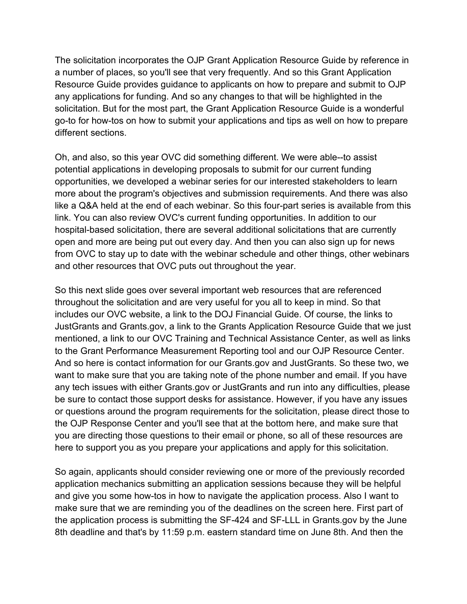The solicitation incorporates the OJP Grant Application Resource Guide by reference in a number of places, so you'll see that very frequently. And so this Grant Application Resource Guide provides guidance to applicants on how to prepare and submit to OJP any applications for funding. And so any changes to that will be highlighted in the solicitation. But for the most part, the Grant Application Resource Guide is a wonderful go-to for how-tos on how to submit your applications and tips as well on how to prepare different sections.

Oh, and also, so this year OVC did something different. We were able--to assist potential applications in developing proposals to submit for our current funding opportunities, we developed a webinar series for our interested stakeholders to learn more about the program's objectives and submission requirements. And there was also like a Q&A held at the end of each webinar. So this four-part series is available from this link. You can also review OVC's current funding opportunities. In addition to our hospital-based solicitation, there are several additional solicitations that are currently open and more are being put out every day. And then you can also sign up for news from OVC to stay up to date with the webinar schedule and other things, other webinars and other resources that OVC puts out throughout the year.

So this next slide goes over several important web resources that are referenced throughout the solicitation and are very useful for you all to keep in mind. So that includes our OVC website, a link to the DOJ Financial Guide. Of course, the links to JustGrants and Grants.gov, a link to the Grants Application Resource Guide that we just mentioned, a link to our OVC Training and Technical Assistance Center, as well as links to the Grant Performance Measurement Reporting tool and our OJP Resource Center. And so here is contact information for our Grants.gov and JustGrants. So these two, we want to make sure that you are taking note of the phone number and email. If you have any tech issues with either Grants.gov or JustGrants and run into any difficulties, please be sure to contact those support desks for assistance. However, if you have any issues or questions around the program requirements for the solicitation, please direct those to the OJP Response Center and you'll see that at the bottom here, and make sure that you are directing those questions to their email or phone, so all of these resources are here to support you as you prepare your applications and apply for this solicitation.

So again, applicants should consider reviewing one or more of the previously recorded application mechanics submitting an application sessions because they will be helpful and give you some how-tos in how to navigate the application process. Also I want to make sure that we are reminding you of the deadlines on the screen here. First part of the application process is submitting the SF-424 and SF-LLL in Grants.gov by the June 8th deadline and that's by 11:59 p.m. eastern standard time on June 8th. And then the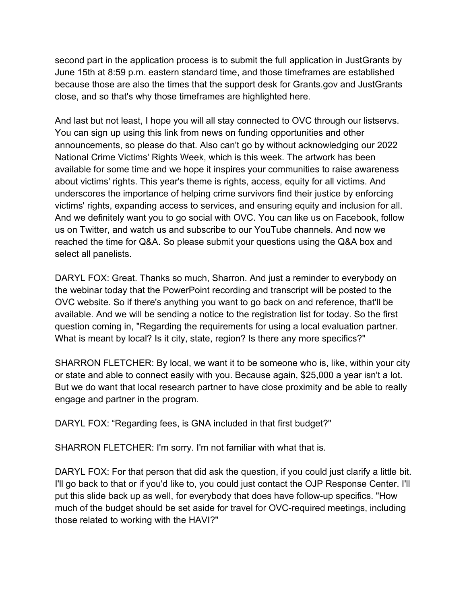second part in the application process is to submit the full application in JustGrants by June 15th at 8:59 p.m. eastern standard time, and those timeframes are established because those are also the times that the support desk for Grants.gov and JustGrants close, and so that's why those timeframes are highlighted here.

And last but not least, I hope you will all stay connected to OVC through our listservs. You can sign up using this link from news on funding opportunities and other announcements, so please do that. Also can't go by without acknowledging our 2022 National Crime Victims' Rights Week, which is this week. The artwork has been available for some time and we hope it inspires your communities to raise awareness about victims' rights. This year's theme is rights, access, equity for all victims. And underscores the importance of helping crime survivors find their justice by enforcing victims' rights, expanding access to services, and ensuring equity and inclusion for all. And we definitely want you to go social with OVC. You can like us on Facebook, follow us on Twitter, and watch us and subscribe to our YouTube channels. And now we reached the time for Q&A. So please submit your questions using the Q&A box and select all panelists.

DARYL FOX: Great. Thanks so much, Sharron. And just a reminder to everybody on the webinar today that the PowerPoint recording and transcript will be posted to the OVC website. So if there's anything you want to go back on and reference, that'll be available. And we will be sending a notice to the registration list for today. So the first question coming in, "Regarding the requirements for using a local evaluation partner. What is meant by local? Is it city, state, region? Is there any more specifics?"

SHARRON FLETCHER: By local, we want it to be someone who is, like, within your city or state and able to connect easily with you. Because again, \$25,000 a year isn't a lot. But we do want that local research partner to have close proximity and be able to really engage and partner in the program.

DARYL FOX: "Regarding fees, is GNA included in that first budget?"

SHARRON FLETCHER: I'm sorry. I'm not familiar with what that is.

DARYL FOX: For that person that did ask the question, if you could just clarify a little bit. I'll go back to that or if you'd like to, you could just contact the OJP Response Center. I'll put this slide back up as well, for everybody that does have follow-up specifics. "How much of the budget should be set aside for travel for OVC-required meetings, including those related to working with the HAVI?"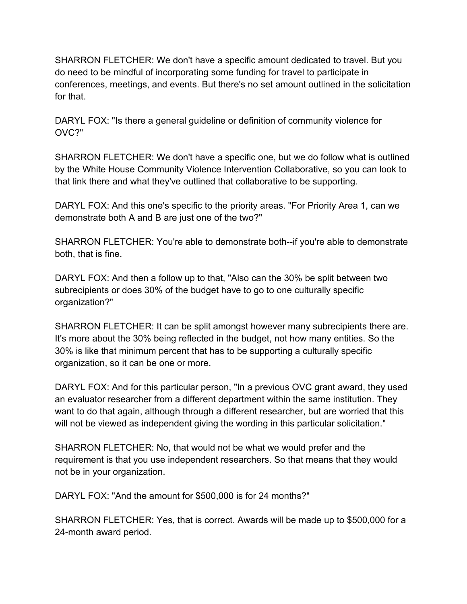SHARRON FLETCHER: We don't have a specific amount dedicated to travel. But you do need to be mindful of incorporating some funding for travel to participate in conferences, meetings, and events. But there's no set amount outlined in the solicitation for that.

DARYL FOX: "Is there a general guideline or definition of community violence for OVC?"

SHARRON FLETCHER: We don't have a specific one, but we do follow what is outlined by the White House Community Violence Intervention Collaborative, so you can look to that link there and what they've outlined that collaborative to be supporting.

DARYL FOX: And this one's specific to the priority areas. "For Priority Area 1, can we demonstrate both A and B are just one of the two?"

SHARRON FLETCHER: You're able to demonstrate both--if you're able to demonstrate both, that is fine.

DARYL FOX: And then a follow up to that, "Also can the 30% be split between two subrecipients or does 30% of the budget have to go to one culturally specific organization?"

SHARRON FLETCHER: It can be split amongst however many subrecipients there are. It's more about the 30% being reflected in the budget, not how many entities. So the 30% is like that minimum percent that has to be supporting a culturally specific organization, so it can be one or more.

DARYL FOX: And for this particular person, "In a previous OVC grant award, they used an evaluator researcher from a different department within the same institution. They want to do that again, although through a different researcher, but are worried that this will not be viewed as independent giving the wording in this particular solicitation."

SHARRON FLETCHER: No, that would not be what we would prefer and the requirement is that you use independent researchers. So that means that they would not be in your organization.

DARYL FOX: "And the amount for \$500,000 is for 24 months?"

SHARRON FLETCHER: Yes, that is correct. Awards will be made up to \$500,000 for a 24-month award period.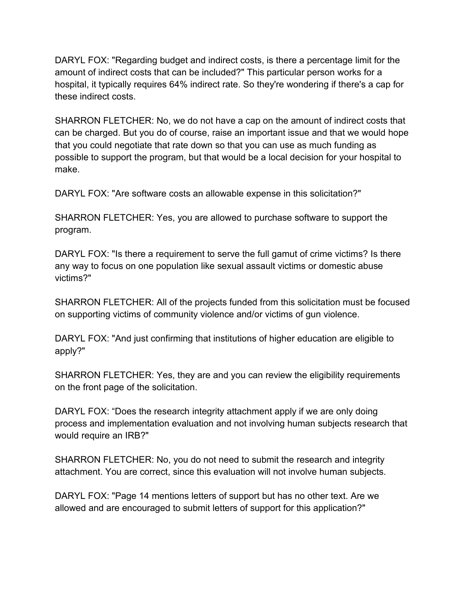DARYL FOX: "Regarding budget and indirect costs, is there a percentage limit for the amount of indirect costs that can be included?" This particular person works for a hospital, it typically requires 64% indirect rate. So they're wondering if there's a cap for these indirect costs.

SHARRON FLETCHER: No, we do not have a cap on the amount of indirect costs that can be charged. But you do of course, raise an important issue and that we would hope that you could negotiate that rate down so that you can use as much funding as possible to support the program, but that would be a local decision for your hospital to make.

DARYL FOX: "Are software costs an allowable expense in this solicitation?"

SHARRON FLETCHER: Yes, you are allowed to purchase software to support the program.

DARYL FOX: "Is there a requirement to serve the full gamut of crime victims? Is there any way to focus on one population like sexual assault victims or domestic abuse victims?"

SHARRON FLETCHER: All of the projects funded from this solicitation must be focused on supporting victims of community violence and/or victims of gun violence.

DARYL FOX: "And just confirming that institutions of higher education are eligible to apply?"

SHARRON FLETCHER: Yes, they are and you can review the eligibility requirements on the front page of the solicitation.

DARYL FOX: "Does the research integrity attachment apply if we are only doing process and implementation evaluation and not involving human subjects research that would require an IRB?"

SHARRON FLETCHER: No, you do not need to submit the research and integrity attachment. You are correct, since this evaluation will not involve human subjects.

DARYL FOX: "Page 14 mentions letters of support but has no other text. Are we allowed and are encouraged to submit letters of support for this application?"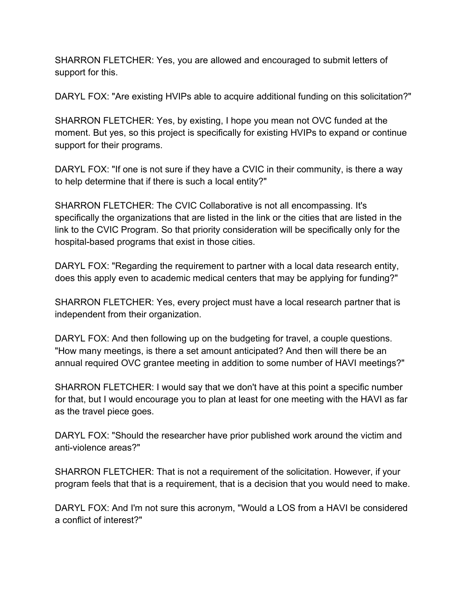SHARRON FLETCHER: Yes, you are allowed and encouraged to submit letters of support for this.

DARYL FOX: "Are existing HVIPs able to acquire additional funding on this solicitation?"

SHARRON FLETCHER: Yes, by existing, I hope you mean not OVC funded at the moment. But yes, so this project is specifically for existing HVIPs to expand or continue support for their programs.

DARYL FOX: "If one is not sure if they have a CVIC in their community, is there a way to help determine that if there is such a local entity?"

SHARRON FLETCHER: The CVIC Collaborative is not all encompassing. It's specifically the organizations that are listed in the link or the cities that are listed in the link to the CVIC Program. So that priority consideration will be specifically only for the hospital-based programs that exist in those cities.

DARYL FOX: "Regarding the requirement to partner with a local data research entity, does this apply even to academic medical centers that may be applying for funding?"

SHARRON FLETCHER: Yes, every project must have a local research partner that is independent from their organization.

DARYL FOX: And then following up on the budgeting for travel, a couple questions. "How many meetings, is there a set amount anticipated? And then will there be an annual required OVC grantee meeting in addition to some number of HAVI meetings?"

SHARRON FLETCHER: I would say that we don't have at this point a specific number for that, but I would encourage you to plan at least for one meeting with the HAVI as far as the travel piece goes.

DARYL FOX: "Should the researcher have prior published work around the victim and anti-violence areas?"

SHARRON FLETCHER: That is not a requirement of the solicitation. However, if your program feels that that is a requirement, that is a decision that you would need to make.

DARYL FOX: And I'm not sure this acronym, "Would a LOS from a HAVI be considered a conflict of interest?"